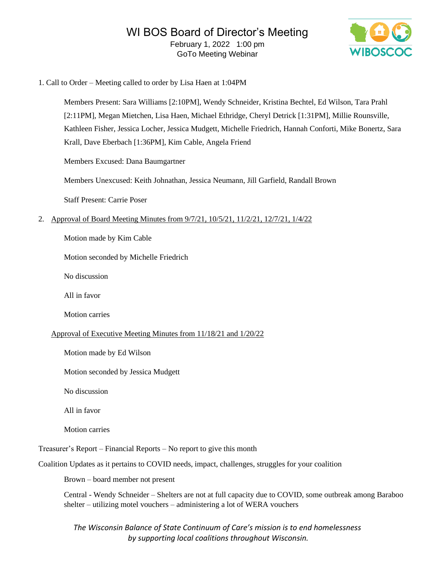

1. Call to Order – Meeting called to order by Lisa Haen at 1:04PM

Members Present: Sara Williams [2:10PM], Wendy Schneider, Kristina Bechtel, Ed Wilson, Tara Prahl [2:11PM], Megan Mietchen, Lisa Haen, Michael Ethridge, Cheryl Detrick [1:31PM], Millie Rounsville, Kathleen Fisher, Jessica Locher, Jessica Mudgett, Michelle Friedrich, Hannah Conforti, Mike Bonertz, Sara Krall, Dave Eberbach [1:36PM], Kim Cable, Angela Friend

Members Excused: Dana Baumgartner

Members Unexcused: Keith Johnathan, Jessica Neumann, Jill Garfield, Randall Brown

Staff Present: Carrie Poser

2. Approval of Board Meeting Minutes from 9/7/21, 10/5/21, 11/2/21, 12/7/21, 1/4/22

Motion made by Kim Cable

Motion seconded by Michelle Friedrich

No discussion

All in favor

Motion carries

#### Approval of Executive Meeting Minutes from 11/18/21 and 1/20/22

Motion made by Ed Wilson

Motion seconded by Jessica Mudgett

No discussion

All in favor

Motion carries

Treasurer's Report – Financial Reports – No report to give this month

Coalition Updates as it pertains to COVID needs, impact, challenges, struggles for your coalition

Brown – board member not present

Central - Wendy Schneider – Shelters are not at full capacity due to COVID, some outbreak among Baraboo shelter – utilizing motel vouchers – administering a lot of WERA vouchers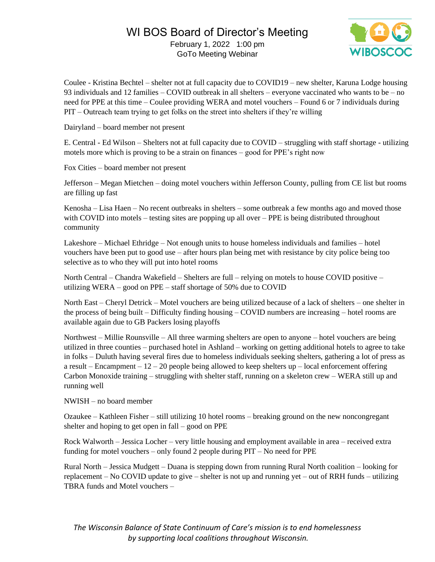

Coulee - Kristina Bechtel – shelter not at full capacity due to COVID19 – new shelter, Karuna Lodge housing 93 individuals and 12 families – COVID outbreak in all shelters – everyone vaccinated who wants to be – no need for PPE at this time – Coulee providing WERA and motel vouchers – Found 6 or 7 individuals during PIT – Outreach team trying to get folks on the street into shelters if they're willing

Dairyland – board member not present

E. Central - Ed Wilson – Shelters not at full capacity due to COVID – struggling with staff shortage - utilizing motels more which is proving to be a strain on finances – good for PPE's right now

Fox Cities – board member not present

Jefferson – Megan Mietchen – doing motel vouchers within Jefferson County, pulling from CE list but rooms are filling up fast

Kenosha – Lisa Haen – No recent outbreaks in shelters – some outbreak a few months ago and moved those with COVID into motels – testing sites are popping up all over – PPE is being distributed throughout community

Lakeshore – Michael Ethridge – Not enough units to house homeless individuals and families – hotel vouchers have been put to good use – after hours plan being met with resistance by city police being too selective as to who they will put into hotel rooms

North Central – Chandra Wakefield – Shelters are full – relying on motels to house COVID positive – utilizing WERA – good on PPE – staff shortage of 50% due to COVID

North East – Cheryl Detrick – Motel vouchers are being utilized because of a lack of shelters – one shelter in the process of being built – Difficulty finding housing – COVID numbers are increasing – hotel rooms are available again due to GB Packers losing playoffs

Northwest – Millie Rounsville – All three warming shelters are open to anyone – hotel vouchers are being utilized in three counties – purchased hotel in Ashland – working on getting additional hotels to agree to take in folks – Duluth having several fires due to homeless individuals seeking shelters, gathering a lot of press as a result – Encampment –  $12 - 20$  people being allowed to keep shelters up – local enforcement offering Carbon Monoxide training – struggling with shelter staff, running on a skeleton crew – WERA still up and running well

NWISH – no board member

Ozaukee – Kathleen Fisher – still utilizing 10 hotel rooms – breaking ground on the new noncongregant shelter and hoping to get open in fall – good on PPE

Rock Walworth – Jessica Locher – very little housing and employment available in area – received extra funding for motel vouchers – only found 2 people during PIT – No need for PPE

Rural North – Jessica Mudgett – Duana is stepping down from running Rural North coalition – looking for replacement – No COVID update to give – shelter is not up and running yet – out of RRH funds – utilizing TBRA funds and Motel vouchers –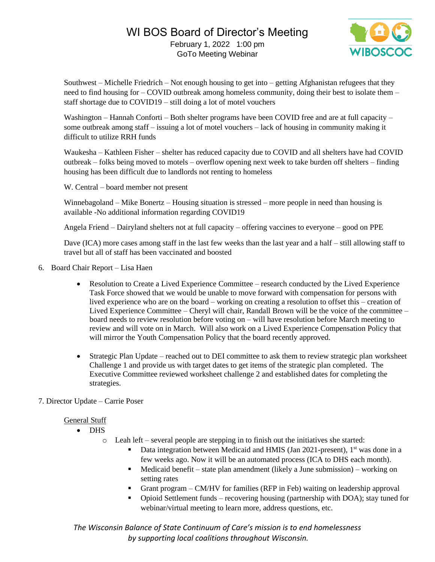

Southwest – Michelle Friedrich – Not enough housing to get into – getting Afghanistan refugees that they need to find housing for – COVID outbreak among homeless community, doing their best to isolate them – staff shortage due to COVID19 – still doing a lot of motel vouchers

Washington – Hannah Conforti – Both shelter programs have been COVID free and are at full capacity – some outbreak among staff – issuing a lot of motel vouchers – lack of housing in community making it difficult to utilize RRH funds

Waukesha – Kathleen Fisher – shelter has reduced capacity due to COVID and all shelters have had COVID outbreak – folks being moved to motels – overflow opening next week to take burden off shelters – finding housing has been difficult due to landlords not renting to homeless

W. Central – board member not present

Winnebagoland – Mike Bonertz – Housing situation is stressed – more people in need than housing is available -No additional information regarding COVID19

Angela Friend – Dairyland shelters not at full capacity – offering vaccines to everyone – good on PPE

Dave (ICA) more cases among staff in the last few weeks than the last year and a half – still allowing staff to travel but all of staff has been vaccinated and boosted

- 6. Board Chair Report Lisa Haen
	- Resolution to Create a Lived Experience Committee research conducted by the Lived Experience Task Force showed that we would be unable to move forward with compensation for persons with lived experience who are on the board – working on creating a resolution to offset this – creation of Lived Experience Committee – Cheryl will chair, Randall Brown will be the voice of the committee – board needs to review resolution before voting on – will have resolution before March meeting to review and will vote on in March. Will also work on a Lived Experience Compensation Policy that will mirror the Youth Compensation Policy that the board recently approved.
	- Strategic Plan Update reached out to DEI committee to ask them to review strategic plan worksheet Challenge 1 and provide us with target dates to get items of the strategic plan completed. The Executive Committee reviewed worksheet challenge 2 and established dates for completing the strategies.

### 7. Director Update – Carrie Poser

#### General Stuff

- DHS
	- o Leah left several people are stepping in to finish out the initiatives she started:
		- Data integration between Medicaid and HMIS (Jan 2021-present), 1<sup>st</sup> was done in a few weeks ago. Now it will be an automated process (ICA to DHS each month).
		- $\blacksquare$  Medicaid benefit state plan amendment (likely a June submission) working on setting rates
		- Grant program CM/HV for families (RFP in Feb) waiting on leadership approval
		- Opioid Settlement funds recovering housing (partnership with DOA); stay tuned for webinar/virtual meeting to learn more, address questions, etc.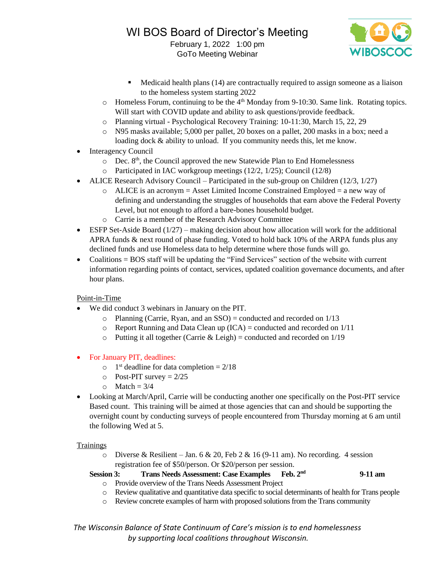

- Medicaid health plans (14) are contractually required to assign someone as a liaison to the homeless system starting 2022
- o Homeless Forum, continuing to be the 4<sup>th</sup> Monday from 9-10:30. Same link. Rotating topics. Will start with COVID update and ability to ask questions/provide feedback.
- o Planning virtual Psychological Recovery Training: 10-11:30, March 15, 22, 29
- o N95 masks available; 5,000 per pallet, 20 boxes on a pallet, 200 masks in a box; need a loading dock & ability to unload. If you community needs this, let me know.
- Interagency Council
	- $\circ$  Dec. 8<sup>th</sup>, the Council approved the new Statewide Plan to End Homelessness
	- o Participated in IAC workgroup meetings (12/2, 1/25); Council (12/8)
- ALICE Research Advisory Council Participated in the sub-group on Children  $(12/3, 1/27)$ 
	- $\circ$  ALICE is an acronym = Asset Limited Income Constrained Employed = a new way of defining and understanding the struggles of households that earn above the Federal Poverty Level, but not enough to afford a bare-bones household budget.
	- o Carrie is a member of the Research Advisory Committee
- ESFP Set-Aside Board  $(1/27)$  making decision about how allocation will work for the additional APRA funds & next round of phase funding. Voted to hold back 10% of the ARPA funds plus any declined funds and use Homeless data to help determine where those funds will go.
- Coalitions = BOS staff will be updating the "Find Services" section of the website with current information regarding points of contact, services, updated coalition governance documents, and after hour plans.

### Point-in-Time

- We did conduct 3 webinars in January on the PIT.
	- $\circ$  Planning (Carrie, Ryan, and an SSO) = conducted and recorded on 1/13
	- $\circ$  Report Running and Data Clean up (ICA) = conducted and recorded on 1/11
	- $\circ$  Putting it all together (Carrie & Leigh) = conducted and recorded on 1/19
- For January PIT, deadlines:
	- $\circ$  1<sup>st</sup> deadline for data completion = 2/18
	- $\circ$  Post-PIT survey = 2/25
	- $\circ$  Match = 3/4
- Looking at March/April, Carrie will be conducting another one specifically on the Post-PIT service Based count. This training will be aimed at those agencies that can and should be supporting the overnight count by conducting surveys of people encountered from Thursday morning at 6 am until the following Wed at 5.

### **Trainings**

 $\circ$  Diverse & Resilient – Jan. 6 & 20, Feb 2 & 16 (9-11 am). No recording. 4 session registration fee of \$50/person. Or \$20/person per session.

**Session 3: Trans Needs Assessment: Case Examples Feb. 2nd 9-11 am**

- o Provide overview of the Trans Needs Assessment Project
- o Review qualitative and quantitative data specific to social determinants of health for Trans people
- o Review concrete examples of harm with proposed solutions from the Trans community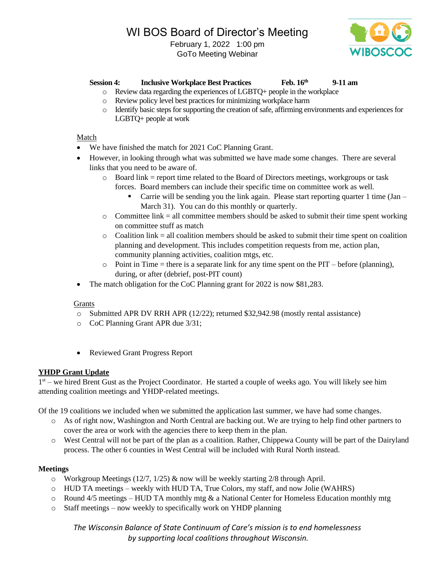# WI BOS Board of Director's Meeting

February 1, 2022 1:00 pm GoTo Meeting Webinar



# **Session 4: Inclusive Workplace Best Practices Feb. 16th 9-11 am**

- o Review data regarding the experiences of LGBTQ+ people in the workplace
- o Review policy level best practices for minimizing workplace harm
- o Identify basic steps for supporting the creation of safe, affirming environments and experiences for LGBTQ+ people at work

### Match

- We have finished the match for 2021 CoC Planning Grant.
- However, in looking through what was submitted we have made some changes. There are several links that you need to be aware of.
	- $\circ$  Board link = report time related to the Board of Directors meetings, workgroups or task forces. Board members can include their specific time on committee work as well.
		- **•** Carrie will be sending you the link again. Please start reporting quarter 1 time (Jan March 31). You can do this monthly or quarterly.
	- $\circ$  Committee link = all committee members should be asked to submit their time spent working on committee stuff as match
	- $\circ$  Coalition link = all coalition members should be asked to submit their time spent on coalition planning and development. This includes competition requests from me, action plan, community planning activities, coalition mtgs, etc.
	- $\circ$  Point in Time = there is a separate link for any time spent on the PIT before (planning), during, or after (debrief, post-PIT count)
- The match obligation for the CoC Planning grant for 2022 is now \$81,283.

#### Grants

- $\circ$  Submitted APR DV RRH APR (12/22); returned \$32,942.98 (mostly rental assistance)
- o CoC Planning Grant APR due 3/31;
- Reviewed Grant Progress Report

### **YHDP Grant Update**

1<sup>st</sup> – we hired Brent Gust as the Project Coordinator. He started a couple of weeks ago. You will likely see him attending coalition meetings and YHDP-related meetings.

Of the 19 coalitions we included when we submitted the application last summer, we have had some changes.

- o As of right now, Washington and North Central are backing out. We are trying to help find other partners to cover the area or work with the agencies there to keep them in the plan.
- o West Central will not be part of the plan as a coalition. Rather, Chippewa County will be part of the Dairyland process. The other 6 counties in West Central will be included with Rural North instead.

#### **Meetings**

- $\circ$  Workgroup Meetings (12/7, 1/25) & now will be weekly starting 2/8 through April.
- o HUD TA meetings weekly with HUD TA, True Colors, my staff, and now Jolie (WAHRS)
- $\circ$  Round 4/5 meetings HUD TA monthly mtg & a National Center for Homeless Education monthly mtg
- o Staff meetings now weekly to specifically work on YHDP planning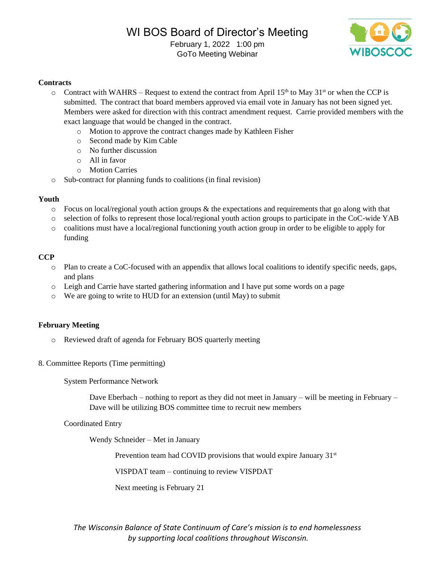

### **Contracts**

- $\circ$  Contract with WAHRS Request to extend the contract from April 15<sup>th</sup> to May 31<sup>st</sup> or when the CCP is submitted. The contract that board members approved via email vote in January has not been signed yet. Members were asked for direction with this contract amendment request. Carrie provided members with the exact language that would be changed in the contract.
	- o Motion to approve the contract changes made by Kathleen Fisher
	- o Second made by Kim Cable
	- o No further discussion
	- o All in favor
	- o Motion Carries
- o Sub-contract for planning funds to coalitions (in final revision)

#### **Youth**

- $\circ$  Focus on local/regional youth action groups & the expectations and requirements that go along with that
- o selection of folks to represent those local/regional youth action groups to participate in the CoC-wide YAB
- o coalitions must have a local/regional functioning youth action group in order to be eligible to apply for funding

### **CCP**

- o Plan to create a CoC-focused with an appendix that allows local coalitions to identify specific needs, gaps, and plans
- o Leigh and Carrie have started gathering information and I have put some words on a page
- o We are going to write to HUD for an extension (until May) to submit

#### **February Meeting**

- o Reviewed draft of agenda for February BOS quarterly meeting
- 8. Committee Reports (Time permitting)

System Performance Network

Dave Eberbach – nothing to report as they did not meet in January – will be meeting in February – Dave will be utilizing BOS committee time to recruit new members

Coordinated Entry

Wendy Schneider – Met in January

Prevention team had COVID provisions that would expire January 31<sup>st</sup>

VISPDAT team – continuing to review VISPDAT

Next meeting is February 21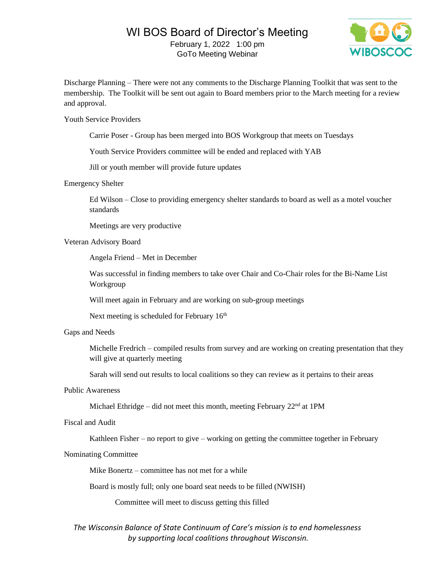# WI BOS Board of Director's Meeting February 1, 2022 1:00 pm

GoTo Meeting Webinar



Discharge Planning – There were not any comments to the Discharge Planning Toolkit that was sent to the membership. The Toolkit will be sent out again to Board members prior to the March meeting for a review and approval.

Youth Service Providers

Carrie Poser - Group has been merged into BOS Workgroup that meets on Tuesdays

Youth Service Providers committee will be ended and replaced with YAB

Jill or youth member will provide future updates

#### Emergency Shelter

Ed Wilson – Close to providing emergency shelter standards to board as well as a motel voucher standards

Meetings are very productive

#### Veteran Advisory Board

Angela Friend – Met in December

Was successful in finding members to take over Chair and Co-Chair roles for the Bi-Name List Workgroup

Will meet again in February and are working on sub-group meetings

Next meeting is scheduled for February 16<sup>th</sup>

#### Gaps and Needs

Michelle Fredrich – compiled results from survey and are working on creating presentation that they will give at quarterly meeting

Sarah will send out results to local coalitions so they can review as it pertains to their areas

### Public Awareness

Michael Ethridge – did not meet this month, meeting February 22<sup>nd</sup> at 1PM

#### Fiscal and Audit

Kathleen Fisher – no report to give – working on getting the committee together in February

#### Nominating Committee

Mike Bonertz – committee has not met for a while

Board is mostly full; only one board seat needs to be filled (NWISH)

Committee will meet to discuss getting this filled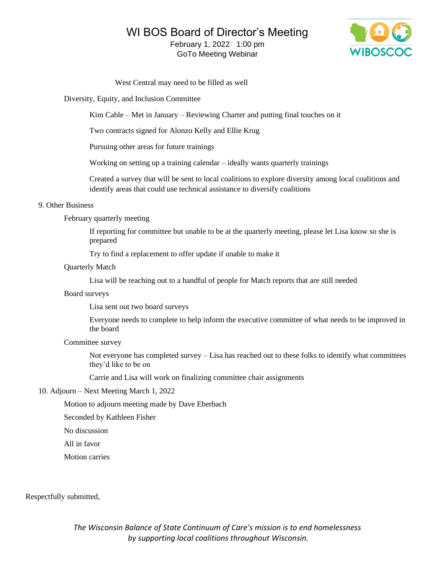# WI BOS Board of Director's Meeting

February 1, 2022 1:00 pm GoTo Meeting Webinar



West Central may need to be filled as well

Diversity, Equity, and Inclusion Committee

Kim Cable – Met in January – Reviewing Charter and putting final touches on it

Two contracts signed for Alonzo Kelly and Ellie Krug

Pursuing other areas for future trainings

Working on setting up a training calendar – ideally wants quarterly trainings

Created a survey that will be sent to local coalitions to explore diversity among local coalitions and identify areas that could use technical assistance to diversify coalitions

#### 9. Other Business

February quarterly meeting

If reporting for committee but unable to be at the quarterly meeting, please let Lisa know so she is prepared

Try to find a replacement to offer update if unable to make it

#### Quarterly Match

Lisa will be reaching out to a handful of people for Match reports that are still needed

#### Board surveys

Lisa sent out two board surveys

Everyone needs to complete to help inform the executive committee of what needs to be improved in the board

#### Committee survey

Not everyone has completed survey – Lisa has reached out to these folks to identify what committees they'd like to be on

Carrie and Lisa will work on finalizing committee chair assignments

#### 10. Adjourn – Next Meeting March 1, 2022

Motion to adjourn meeting made by Dave Eberbach

Seconded by Kathleen Fisher

No discussion

All in favor

Motion carries

Respectfully submitted,